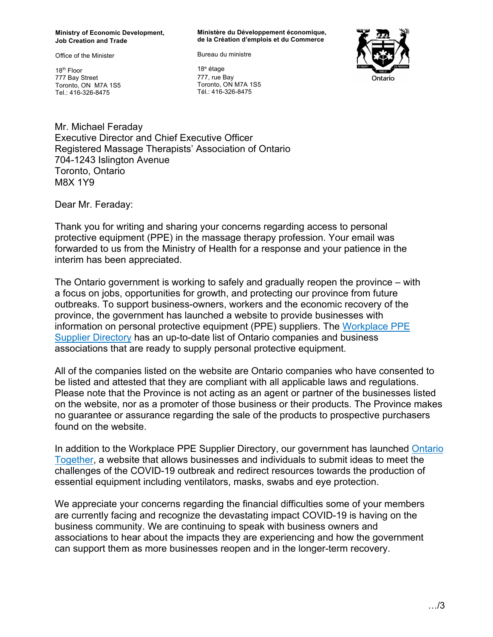**Ministry of Economic Development, Job Creation and Trade**

Office of the Minister

18th Floor 777 Bay Street Toronto, ON M7A 1S5 Tel.: 416-326-8475

**Ministère du Développement économique, de la Création d'emplois et du Commerce** 

Bureau du ministre

18<sup>e</sup> étage 777, rue Bay Toronto, ON M7A 1S5 Tél.: 416-326-8475



Mr. Michael Feraday Executive Director and Chief Executive Officer Registered Massage Therapists' Association of Ontario 704-1243 Islington Avenue Toronto, Ontario M8X 1Y9

Dear Mr. Feraday:

Thank you for writing and sharing your concerns regarding access to personal protective equipment (PPE) in the massage therapy profession. Your email was forwarded to us from the Ministry of Health for a response and your patience in the interim has been appreciated.

The Ontario government is working to safely and gradually reopen the province – with a focus on jobs, opportunities for growth, and protecting our province from future outbreaks. To support business-owners, workers and the economic recovery of the province, the government has launched a website to provide businesses with information on personal protective equipment (PPE) suppliers. The [Workplace PPE](http://www.ontario.ca/ppe)  [Supplier Directory](http://www.ontario.ca/ppe) has an up-to-date list of Ontario companies and business associations that are ready to supply personal protective equipment.

All of the companies listed on the website are Ontario companies who have consented to be listed and attested that they are compliant with all applicable laws and regulations. Please note that the Province is not acting as an agent or partner of the businesses listed on the website, nor as a promoter of those business or their products. The Province makes no guarantee or assurance regarding the sale of the products to prospective purchasers found on the website.

In addition to the Workplace PPE Supplier Directory, our government has launched [Ontario](https://covid-19.ontario.ca/how-your-organization-can-help-fight-coronavirus/)  [Together](https://covid-19.ontario.ca/how-your-organization-can-help-fight-coronavirus/), a website that allows businesses and individuals to submit ideas to meet the challenges of the COVID-19 outbreak and redirect resources towards the production of essential equipment including ventilators, masks, swabs and eye protection.

We appreciate your concerns regarding the financial difficulties some of your members are currently facing and recognize the devastating impact COVID-19 is having on the business community. We are continuing to speak with business owners and associations to hear about the impacts they are experiencing and how the government can support them as more businesses reopen and in the longer-term recovery.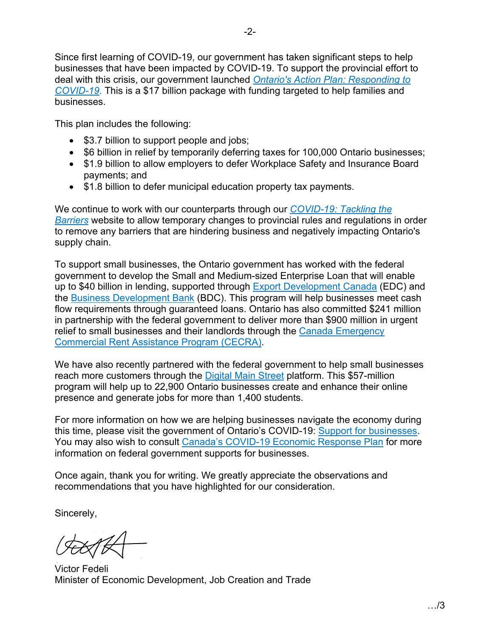Since first learning of COVID-19, our government has taken significant steps to help businesses that have been impacted by COVID-19. To support the provincial effort to deal with this crisis, our government launched *[Ontario's Action Plan: Responding to](https://budget.ontario.ca/2020/marchupdate/index.html?_ga=2.255508877.448778587.1585158228-363235773.1574998706)  [COVID-19](https://budget.ontario.ca/2020/marchupdate/index.html?_ga=2.255508877.448778587.1585158228-363235773.1574998706)*. This is a \$17 billion package with funding targeted to help families and businesses.

This plan includes the following:

- \$3.7 billion to support people and jobs;
- \$6 billion in relief by temporarily deferring taxes for 100,000 Ontario businesses;
- \$1.9 billion to allow employers to defer Workplace Safety and Insurance Board payments; and
- \$1.8 billion to defer municipal education property tax payments.

We continue to work with our counterparts through our *[COVID-19: Tackling the](https://www.ontario.ca/page/frontline-business-help-us-support-you-during-covid-19?_ga=2.242976384.362118650.1591024033-319767008.1574110931)  [Barriers](https://www.ontario.ca/page/frontline-business-help-us-support-you-during-covid-19?_ga=2.242976384.362118650.1591024033-319767008.1574110931)* website to allow temporary changes to provincial rules and regulations in order to remove any barriers that are hindering business and negatively impacting Ontario's supply chain.

To support small businesses, the Ontario government has worked with the federal government to develop the Small and Medium-sized Enterprise Loan that will enable up to \$40 billion in lending, supported through **Export Development Canada** (EDC) and the [Business Development Bank](https://www.bdc.ca/en/pages/special-support.aspx?special-initiative=covid19) (BDC). This program will help businesses meet cash flow requirements through guaranteed loans. Ontario has also committed \$241 million in partnership with the federal government to deliver more than \$900 million in urgent relief to small businesses and their landlords through the Canada Emergency [Commercial Rent Assistance Program \(CECRA\).](https://www.cmhc-schl.gc.ca/en/finance-and-investing/covid19-cecra-small-business)

We have also recently partnered with the federal government to help small businesses reach more customers through the [Digital Main Street](https://digitalmainstreet.ca/ontario/) platform. This \$57-million program will help up to 22,900 Ontario businesses create and enhance their online presence and generate jobs for more than 1,400 students.

For more information on how we are helping businesses navigate the economy during this time, please visit the government of Ontario's COVID-19: [Support for businesses](https://www.ontario.ca/page/covid-19-support-businesses). You may also wish to consult [Canada's COVID-19 Economic Response Plan](https://www.canada.ca/en/department-finance/economic-response-plan.html) for more information on federal government supports for businesses.

Once again, thank you for writing. We greatly appreciate the observations and recommendations that you have highlighted for our consideration.

Sincerely,

Victor Fedeli Minister of Economic Development, Job Creation and Trade